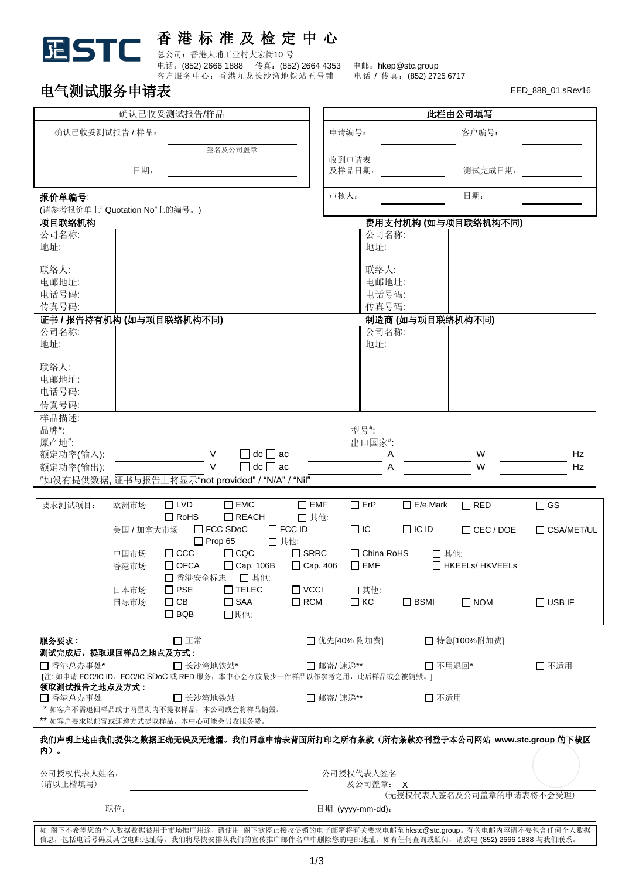## 香 港 标 准 及 检 定 中 心

总公司:香港大埔工业村大宏街10 号

电话: (852) 2666 1888 传真: (852) 2664 4353 电邮: hkep@stc.group 客户服务中心: 香港九龙长沙湾地铁站五号铺 电话 / 传真: (852) 2725 6717

## 中气测试跟冬申请事

**STC** 

**JE** 

| 确认已收妥测试报告/样品                                                                                     |                                                                                              |                           |                                                                                     |                                                                                                                | 此栏由公司填写                         |                 |                                                                                       |               |
|--------------------------------------------------------------------------------------------------|----------------------------------------------------------------------------------------------|---------------------------|-------------------------------------------------------------------------------------|----------------------------------------------------------------------------------------------------------------|---------------------------------|-----------------|---------------------------------------------------------------------------------------|---------------|
| 确认已收妥测试报告 / 样品:                                                                                  |                                                                                              |                           |                                                                                     | 申请编号:                                                                                                          |                                 | 客户编号:           |                                                                                       |               |
|                                                                                                  | 日期:                                                                                          |                           | 签名及公司盖章                                                                             |                                                                                                                | 收到申请表<br>及样品日期:                 |                 | 测试完成日期:                                                                               |               |
| 报价单编号:                                                                                           |                                                                                              |                           |                                                                                     | 审核人:                                                                                                           |                                 | 日期:             |                                                                                       |               |
| (请参考报价单上"Quotation No"上的编号。)<br>项目联络机构                                                           |                                                                                              |                           |                                                                                     |                                                                                                                |                                 |                 | 费用支付机构 (如与项目联络机构不同)                                                                   |               |
| 公司名称:<br>地址:                                                                                     |                                                                                              |                           |                                                                                     |                                                                                                                |                                 | 公司名称:<br>地址:    |                                                                                       |               |
| 联络人:<br>电邮地址:<br>电话号码:<br>传真号码:                                                                  |                                                                                              |                           |                                                                                     |                                                                                                                | 联络人:<br>电邮地址:<br>电话号码:<br>传真号码: |                 |                                                                                       |               |
| 证书 / 报告持有机构 (如与项目联络机构不同)                                                                         |                                                                                              |                           |                                                                                     |                                                                                                                | 制造商 (如与项目联络机构不同)<br>公司名称:       |                 |                                                                                       |               |
| 公司名称:<br>地址:                                                                                     |                                                                                              |                           |                                                                                     |                                                                                                                | 地址:                             |                 |                                                                                       |               |
| 联络人:<br>电邮地址:<br>电话号码:<br>传真号码:                                                                  |                                                                                              |                           |                                                                                     |                                                                                                                |                                 |                 |                                                                                       |               |
| 样品描述:                                                                                            |                                                                                              |                           |                                                                                     |                                                                                                                |                                 |                 |                                                                                       |               |
| 品牌#:<br>原产地#:                                                                                    |                                                                                              |                           |                                                                                     |                                                                                                                | 型号#:<br>出口国家#:                  |                 |                                                                                       |               |
| 额定功率(输入):                                                                                        |                                                                                              | V                         | $\Box$ dc $\Box$ ac                                                                 |                                                                                                                |                                 | Α               | W                                                                                     | Hz            |
| 额定功率(输出):<br>#如没有提供数据, 证书与报告上将显示"not provided" / "N/A" / "Nil"                                   |                                                                                              | $\vee$                    | $\Box$ dc $\Box$ ac                                                                 |                                                                                                                |                                 | A               | W                                                                                     | Hz            |
|                                                                                                  |                                                                                              |                           |                                                                                     |                                                                                                                |                                 |                 |                                                                                       |               |
| 要求测试项目:                                                                                          | 欧洲市场                                                                                         | $\Box$ LVD<br>$\Box$ RoHS | $\square$ EMC<br>$\Box$ REACH                                                       | $\square$ EMF<br>□ 其他:                                                                                         | $\Box$ ErP                      | $\Box$ E/e Mark | $\Box$ RED                                                                            | $\Box$ GS     |
|                                                                                                  | 美国 / 加拿大市场                                                                                   |                           | $\Box$ FCC SDoC                                                                     | $\Box$ FCC ID<br>□ 其他:                                                                                         | $\Box$ IC                       | $\Box$ IC ID    | $\Box$ CEC / DOE                                                                      | CSA/MET/UL    |
|                                                                                                  | $\Box$ Prop 65<br>$\square$<br>ccc<br>$\Box$ CQC<br>中国市场<br>$\Box$ OFCA<br>Cap. 106B<br>香港市场 |                           | $\Box$ SRRC<br>□ Cap. 406                                                           | $\Box$ China RoHS<br>□ 其他:<br>□ HKEELs/ HKVEELs<br>$\Box$ EMF                                                  |                                 |                 |                                                                                       |               |
|                                                                                                  | 日本市场                                                                                         | □ 香港安全标志<br>$\square$ PSE | □ 其他:<br>$\Box$ TELEC                                                               | $\Box$ VCCI                                                                                                    | □ 其他:                           |                 |                                                                                       |               |
|                                                                                                  | 国际市场                                                                                         | $\Box$ CB<br>$\Box$ BQB   | $\Box$ SAA<br>□其他:                                                                  | $\Box$ RCM                                                                                                     | $\Box$ KC                       | $\Box$ BSMI     | $\Box$ NOM                                                                            | $\Box$ USB IF |
| □正常<br>服务要求:                                                                                     |                                                                                              |                           |                                                                                     |                                                                                                                | □ 优先[40% 附加费]                   |                 | □ 特急[100%附加费]                                                                         |               |
| 测试完成后, 提取退回样品之地点及方式:<br>□ 香港总办事处*<br>□ 长沙湾地铁站*                                                   |                                                                                              |                           |                                                                                     | □ 邮寄/ 速递**<br>□ 不用退回*                                                                                          |                                 |                 | □ 不适用                                                                                 |               |
| 『注: 如申请 FCC/IC ID、FCC/IC SDoC 或 RED 服务, 本中心会存放最少一件样品以作参考之用, 此后样品或会被销毁。1<br>领取测试报告之地点及方式:         |                                                                                              |                           |                                                                                     |                                                                                                                |                                 |                 |                                                                                       |               |
| □ 香港总办事处<br>□长沙湾地铁站<br>* 如客户不需退回样品或于两星期内不提取样品, 本公司或会将样品销毁。<br>** 如客户要求以邮寄或速递方式提取样品, 本中心可能会另收服务费。 |                                                                                              |                           |                                                                                     | □ 邮寄/速递**<br>□ 不适用                                                                                             |                                 |                 |                                                                                       |               |
| 内)。                                                                                              |                                                                                              |                           |                                                                                     |                                                                                                                |                                 |                 | 我们声明上述由我们提供之数据正确无误及无遗漏。我们同意申请表背面所打印之所有条款(所有条款亦刊登于本公司网站 www.stc.group 的下载区             |               |
| 公司授权代表人姓名:                                                                                       |                                                                                              |                           |                                                                                     | 公司授权代表人签名                                                                                                      |                                 |                 |                                                                                       |               |
| (请以正楷填写)                                                                                         |                                                                                              |                           | 及公司盖章: X<br>(无授权代表人签名及公司盖章的申请表将不会受理)                                                |                                                                                                                |                                 |                 |                                                                                       |               |
| 职位:                                                                                              |                                                                                              |                           |                                                                                     | 日期 (yyyy-mm-dd): the control of the control of the control of the control of the control of the control of the |                                 |                 |                                                                                       |               |
|                                                                                                  |                                                                                              |                           | 信息,包括电话号码及其它电邮地址等。我们将尽快安排从我们的宣传推广邮件名单中删除您的电邮地址。如有任何查询或疑问,请致电 (852) 2666 1888 与我们联系。 |                                                                                                                |                                 |                 | 如 阁下不希望您的个人数据数据被用于市场推广用途,请使用 阁下欲停止接收促销的电子邮箱将有关要求电邮至 hkstc@stc.group。有关电邮内容请不要包含任何个人数据 |               |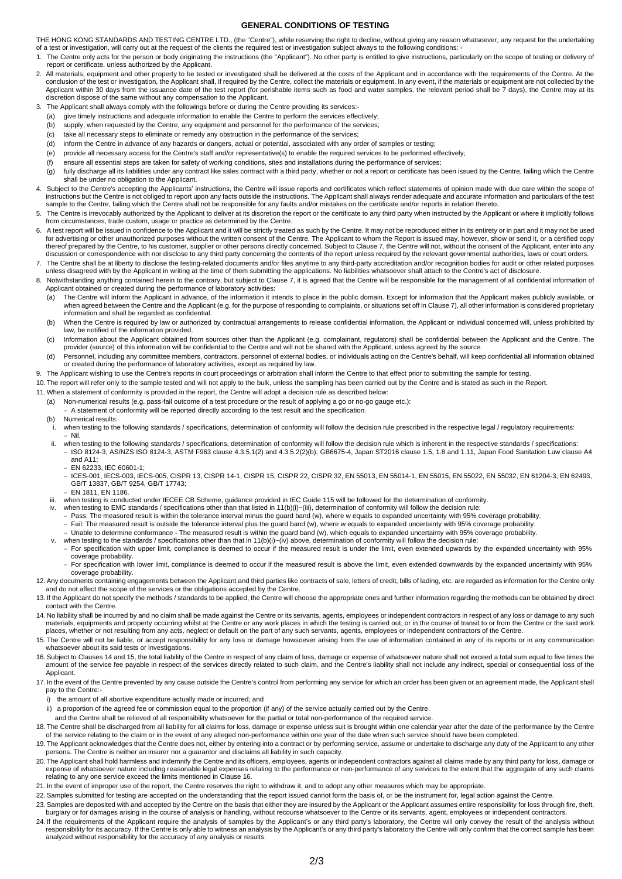## **GENERAL CONDITIONS OF TESTING**

THE HONG KONG STANDARDS AND TESTING CENTRE LTD., (the "Centre"), while reserving the right to decline, without giving any reason whatsoever, any request for the undertaking of a test or investigation, will carry out at the request of the clients the required test or investigation subject always to the following conditions: -

- 1. The Centre only acts for the person or body originating the instructions (the "Applicant"). No other party is entitled to give instructions, particularly on the scope of testing or delivery of report or certificate, unless authorized by the Applicant.
- 2. All materials, equipment and other property to be tested or investigated shall be delivered at the costs of the Applicant and in accordance with the requirements of the Centre. At the conclusion of the test or investigation, the Applicant shall, if required by the Centre, collect the materials or equipment. In any event, if the materials or equipment are not collected by the Applicant within 30 days from the issuance date of the test report (for perishable items such as food and water samples, the relevant period shall be 7 days), the Centre may at its discretion dispose of the same without any compensation to the Applicant.
- 3. The Applicant shall always comply with the followings before or during the Centre providing its services:-
	- (a) give timely instructions and adequate information to enable the Centre to perform the services effectively;
	- (b) supply, when requested by the Centre, any equipment and personnel for the performance of the services;
	- (c) take all necessary steps to eliminate or remedy any obstruction in the performance of the services<br>(d) inform the Centre in advance of any hazards or dangers, actual or potential, associated with any o
	- inform the Centre in advance of any hazards or dangers, actual or potential, associated with any order of samples or testing;
	- (e) provide all necessary access for the Centre's staff and/or representative(s) to enable the required services to be performed effectively;
	- (f) ensure all essential steps are taken for safety of working conditions, sites and installations during the performance of services;
	- (g) fully discharge all its liabilities under any contract like sales contract with a third party, whether or not a report or certificate has been issued by the Centre, failing which the Centre shall be under no obligation to the Applicant.
- 4. Subject to the Centre's accepting the Applicants' instructions, the Centre will issue reports and certificates which reflect statements of opinion made with due care within the scope of instructions but the Centre is not obliged to report upon any facts outside the instructions. The Applicant shall always render adequate and accurate information and particulars of the test sample to the Centre, failing which the Centre shall not be responsible for any faults and/or mistakes on the certificate and/or reports in relation thereto.
- 5. The Centre is irrevocably authorized by the Applicant to deliver at its discretion the report or the certificate to any third party when instructed by the Applicant or where it implicitly follows from circumstances, trade custom, usage or practice as determined by the Centre.
- 6. A test report will be issued in confidence to the Applicant and it will be strictly treated as such by the Centre. It may not be reproduced either in its entirety or in part and it may not be used for advertising or other unauthorized purposes without the written consent of the Centre. The Applicant to whom the Report is issued may, however, show or send it, or a certified copy<br>thereof prepared by the Centre, to his discussion or correspondence with nor disclose to any third party concerning the contents of the report unless required by the relevant governmental authorities, laws or court orders.
- 7. The Centre shall be at liberty to disclose the testing-related documents and/or files anytime to any third-party accreditation and/or recognition bodies for audit or other related purposes unless disagreed with by the Applicant in writing at the time of them submitting the applications. No liabilities whatsoever shall attach to the Centre's act of disclosure.
- 8. Notwithstanding anything contained herein to the contrary, but subject to Clause 7, it is agreed that the Centre will be responsible for the management of all confidential information of Applicant obtained or created during the performance of laboratory activities:
	- (a) The Centre will inform the Applicant in advance, of the information it intends to place in the public domain. Except for information that the Applicant makes publicly available, or when agreed between the Centre and the Applicant (e.g. for the purpose of responding to complaints, or situations set off in Clause 7), all other information is considered proprietary information and shall be regarded as confidential.
	- (b) When the Centre is required by law or authorized by contractual arrangements to release confidential information, the Applicant or individual concerned will, unless prohibited by law, be notified of the information provided.
	- (c) Information about the Applicant obtained from sources other than the Applicant (e.g. complainant, regulators) shall be confidential between the Applicant and the Centre. The provider (source) of this information will be confidential to the Centre and will not be shared with the Applicant, unless agreed by the source.
	- (d) Personnel, including any committee members, contractors, personnel of external bodies, or individuals acting on the Centre's behalf, will keep confidential all information obtained or created during the performance of laboratory activities, except as required by law.
- 9. The Applicant wishing to use the Centre's reports in court proceedings or arbitration shall inform the Centre to that effect prior to submitting the sample for testing.

10. The report will refer only to the sample tested and will not apply to the bulk, unless the sampling has been carried out by the Centre and is stated as such in the Report.

- 11. When a statement of conformity is provided in the report, the Centre will adopt a decision rule as described below:
	- (a) Non-numerical results (e.g. pass-fail outcome of a test procedure or the result of applying a go or no-go gauge etc.):
		- − A statement of conformity will be reported directly according to the test result and the specification.
	- (b) Numerical results:
	- when testing to the following standards / specifications, determination of conformity will follow the decision rule prescribed in the respective legal / regulatory requirements: − Nil.
	- ii. when testing to the following standards / specifications, determination of conformity will follow the decision rule which is inherent in the respective standards / specifications: − ISO 8124-3, AS/NZS ISO 8124-3, ASTM F963 clause 4.3.5.1(2) and 4.3.5.2(2)(b), GB6675-4, Japan ST2016 clause 1.5, 1.8 and 1.11, Japan Food Sanitation Law clause A4 and A11;
		- − EN 62233, IEC 60601-1;
		- − ICES-001, IECS-003, IECS-005, CISPR 13, CISPR 14-1, CISPR 15, CISPR 22, CISPR 32, EN 55013, EN 55014-1, EN 55015, EN 55022, EN 55032, EN 61204-3, EN 62493, GB/T 13837, GB/T 9254, GB/T 17743;
		- − EN 1811, EN 1186.
	- iii. when testing is conducted under IECEE CB Scheme, guidance provided in IEC Guide 115 will be followed for the determination of conformity.
	- iv. when testing to EMC standards / specifications other than that listed in 11(b)(i)~(iii), determination of conformity will follow the decision rule:
		- Pass: The measured result is within the tolerance interval minus the guard band (w), where w equals to expanded uncertainty with 95% coverage probability.
		- Fail: The measured result is outside the tolerance interval plus the guard band (w), where w equals to expanded uncertainty with 95% coverage probability.
		- − Unable to determine conformance The measured result is within the guard band (w), which equals to expanded uncertainty with 95% coverage probability.
	- v. when testing to the standards / specifications other than that in 11(b)(i)~(iv) above, determination of conformity will follow the decision rule:
		- − For specification with upper limit, compliance is deemed to occur if the measured result is under the limit, even extended upwards by the expanded uncertainty with 95% coverage probability.
		- For specification with lower limit, compliance is deemed to occur if the measured result is above the limit, even extended downwards by the expanded uncertainty with 95% coverage probability.
- 12. Any documents containing engagements between the Applicant and third parties like contracts of sale, letters of credit, bills of lading, etc. are regarded as information for the Centre only<br>and do not affect the scope
- 13. If the Applicant do not specify the methods / standards to be applied, the Centre will choose the appropriate ones and further information regarding the methods can be obtained by direct contact with the Centre.
- 14. No liability shall be incurred by and no claim shall be made against the Centre or its servants, agents, employees or independent contractors in respect of any loss or damage to any such materials, equipments and property occurring whilst at the Centre or any work places in which the testing is carried out, or in the course of transit to or from the Centre or the said work places, whether or not resulting from any acts, neglect or default on the part of any such servants, agents, employees or independent contractors of the Centre.
- 15. The Centre will not be liable, or accept responsibility for any loss or damage howsoever arising from the use of information contained in any of its reports or in any communication whatsoever about its said tests or investigations.
- 16.Subject to Clauses 14 and 15, the total liability of the Centre in respect of any claim of loss, damage or expense of whatsoever nature shall not exceed a total sum equal to five times the amount of the service fee payable in respect of the services directly related to such claim, and the Centre's liability shall not include any indirect, special or consequential loss of the Applicant.
- 17. In the event of the Centre prevented by any cause outside the Centre's control from performing any service for which an order has been given or an agreement made, the Applicant shall pay to the Centre:
	- i) the amount of all abortive expenditure actually made or incurred; and
	- ii) a proportion of the agreed fee or commission equal to the proportion (if any) of the service actually carried out by the Centre.

and the Centre shall be relieved of all responsibility whatsoever for the partial or total non-performance of the required service.

- 18. The Centre shall be discharged from all liability for all claims for loss, damage or expense unless suit is brought within one calendar year after the date of the performance by the Centre of the service relating to the claim or in the event of any alleged non-performance within one year of the date when such service should have been completed.
- 19. The Applicant acknowledges that the Centre does not, either by entering into a contract or by performing service, assume or undertake to discharge any duty of the Applicant to any other persons. The Centre is neither an insurer nor a guarantor and disclaims all liability in such capacity.
- 20. The Applicant shall hold harmless and indemnify the Centre and its officers, employees, agents or independent contractors against all claims made by any third party for loss, damage or<br>expense of whatsoever nature incl relating to any one service exceed the limits mentioned in Clause 16.
- 21. In the event of improper use of the report, the Centre reserves the right to withdraw it, and to adopt any other measures which may be appropriate.
- 22.Samples submitted for testing are accepted on the understanding that the report issued cannot form the basis of, or be the instrument for, legal action against the Centre.
- 23. Samples are deposited with and accepted by the Centre on the basis that either they are insured by the Applicant or the Applicant assumes entire responsibility for loss through fire, theft, burglary or for damages arising in the course of analysis or handling, without recourse whatsoever to the Centre or its servants, agent, employees or independent contractors.
- 24. If the requirements of the Applicant require the analysis of samples by the Applicant's or any third party's laboratory, the Centre will only convey the result of the analysis without<br>responsibility for its accuracy. I analyzed without responsibility for the accuracy of any analysis or results.